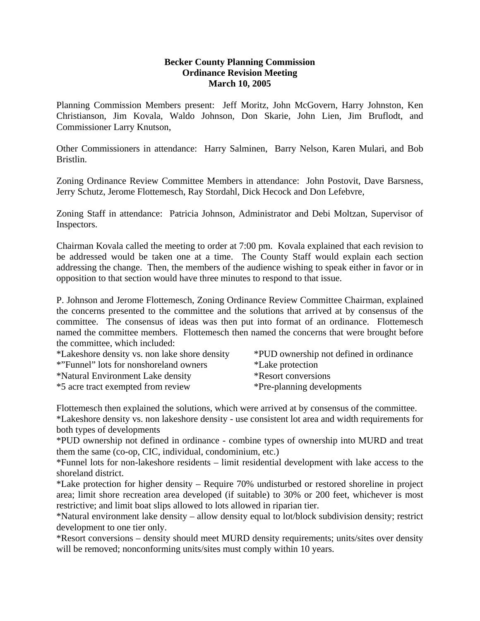### **Becker County Planning Commission Ordinance Revision Meeting March 10, 2005**

Planning Commission Members present: Jeff Moritz, John McGovern, Harry Johnston, Ken Christianson, Jim Kovala, Waldo Johnson, Don Skarie, John Lien, Jim Bruflodt, and Commissioner Larry Knutson,

Other Commissioners in attendance: Harry Salminen, Barry Nelson, Karen Mulari, and Bob Bristlin.

Zoning Ordinance Review Committee Members in attendance: John Postovit, Dave Barsness, Jerry Schutz, Jerome Flottemesch, Ray Stordahl, Dick Hecock and Don Lefebvre,

Zoning Staff in attendance: Patricia Johnson, Administrator and Debi Moltzan, Supervisor of Inspectors.

Chairman Kovala called the meeting to order at 7:00 pm. Kovala explained that each revision to be addressed would be taken one at a time. The County Staff would explain each section addressing the change. Then, the members of the audience wishing to speak either in favor or in opposition to that section would have three minutes to respond to that issue.

P. Johnson and Jerome Flottemesch, Zoning Ordinance Review Committee Chairman, explained the concerns presented to the committee and the solutions that arrived at by consensus of the committee. The consensus of ideas was then put into format of an ordinance. Flottemesch named the committee members. Flottemesch then named the concerns that were brought before the committee, which included:

| *Lakeshore density vs. non lake shore density | *PUD ownership not defined in ordinance |
|-----------------------------------------------|-----------------------------------------|
| *"Funnel" lots for nonshoreland owners        | *Lake protection                        |
| *Natural Environment Lake density             | *Resort conversions                     |
| *5 acre tract exempted from review            | *Pre-planning developments              |

Flottemesch then explained the solutions, which were arrived at by consensus of the committee.

\*Lakeshore density vs. non lakeshore density - use consistent lot area and width requirements for both types of developments

\*PUD ownership not defined in ordinance - combine types of ownership into MURD and treat them the same (co-op, CIC, individual, condominium, etc.)

\*Funnel lots for non-lakeshore residents – limit residential development with lake access to the shoreland district.

\*Lake protection for higher density – Require 70% undisturbed or restored shoreline in project area; limit shore recreation area developed (if suitable) to 30% or 200 feet, whichever is most restrictive; and limit boat slips allowed to lots allowed in riparian tier.

\*Natural environment lake density – allow density equal to lot/block subdivision density; restrict development to one tier only.

\*Resort conversions – density should meet MURD density requirements; units/sites over density will be removed; nonconforming units/sites must comply within 10 years.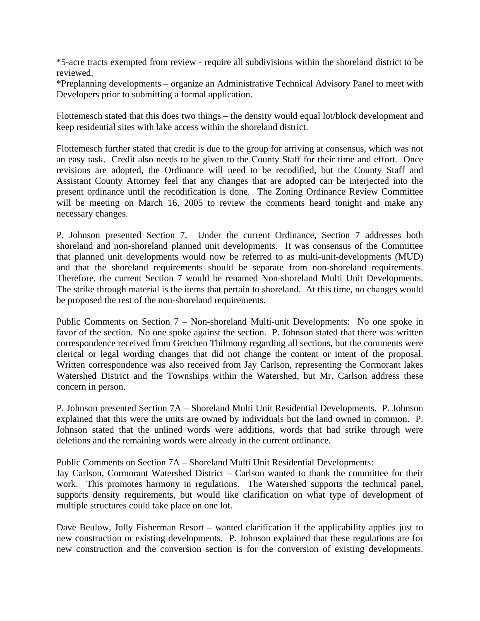\*5-acre tracts exempted from review - require all subdivisions within the shoreland district to be reviewed.

\*Preplanning developments – organize an Administrative Technical Advisory Panel to meet with Developers prior to submitting a formal application.

Flottemesch stated that this does two things – the density would equal lot/block development and keep residential sites with lake access within the shoreland district.

Flottemesch further stated that credit is due to the group for arriving at consensus, which was not an easy task. Credit also needs to be given to the County Staff for their time and effort. Once revisions are adopted, the Ordinance will need to be recodified, but the County Staff and Assistant County Attorney feel that any changes that are adopted can be interjected into the present ordinance until the recodification is done. The Zoning Ordinance Review Committee will be meeting on March 16, 2005 to review the comments heard tonight and make any necessary changes.

P. Johnson presented Section 7. Under the current Ordinance, Section 7 addresses both shoreland and non-shoreland planned unit developments. It was consensus of the Committee that planned unit developments would now be referred to as multi-unit-developments (MUD) and that the shoreland requirements should be separate from non-shoreland requirements. Therefore, the current Section 7 would be renamed Non-shoreland Multi Unit Developments. The strike through material is the items that pertain to shoreland. At this time, no changes would be proposed the rest of the non-shoreland requirements.

Public Comments on Section 7 – Non-shoreland Multi-unit Developments: No one spoke in favor of the section. No one spoke against the section. P. Johnson stated that there was written correspondence received from Gretchen Thilmony regarding all sections, but the comments were clerical or legal wording changes that did not change the content or intent of the proposal. Written correspondence was also received from Jay Carlson, representing the Cormorant lakes Watershed District and the Townships within the Watershed, but Mr. Carlson address these concern in person.

P. Johnson presented Section 7A – Shoreland Multi Unit Residential Developments. P. Johnson explained that this were the units are owned by individuals but the land owned in common. P. Johnson stated that the unlined words were additions, words that had strike through were deletions and the remaining words were already in the current ordinance.

Public Comments on Section 7A – Shoreland Multi Unit Residential Developments:

Jay Carlson, Cormorant Watershed District – Carlson wanted to thank the committee for their work. This promotes harmony in regulations. The Watershed supports the technical panel, supports density requirements, but would like clarification on what type of development of multiple structures could take place on one lot.

Dave Beulow, Jolly Fisherman Resort – wanted clarification if the applicability applies just to new construction or existing developments. P. Johnson explained that these regulations are for new construction and the conversion section is for the conversion of existing developments.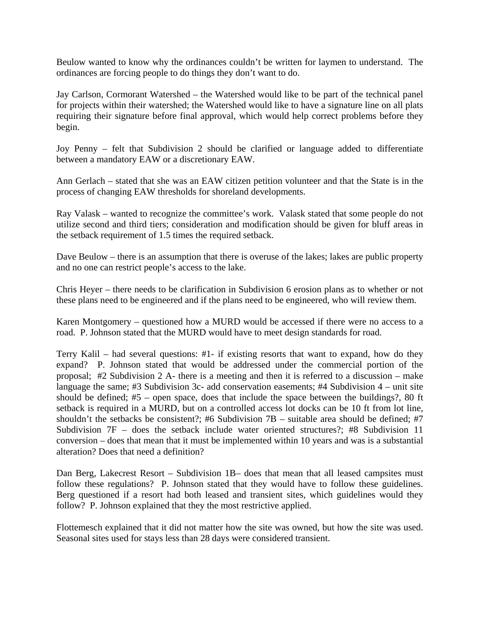Beulow wanted to know why the ordinances couldn't be written for laymen to understand. The ordinances are forcing people to do things they don't want to do.

Jay Carlson, Cormorant Watershed – the Watershed would like to be part of the technical panel for projects within their watershed; the Watershed would like to have a signature line on all plats requiring their signature before final approval, which would help correct problems before they begin.

Joy Penny – felt that Subdivision 2 should be clarified or language added to differentiate between a mandatory EAW or a discretionary EAW.

Ann Gerlach – stated that she was an EAW citizen petition volunteer and that the State is in the process of changing EAW thresholds for shoreland developments.

Ray Valask – wanted to recognize the committee's work. Valask stated that some people do not utilize second and third tiers; consideration and modification should be given for bluff areas in the setback requirement of 1.5 times the required setback.

Dave Beulow – there is an assumption that there is overuse of the lakes; lakes are public property and no one can restrict people's access to the lake.

Chris Heyer – there needs to be clarification in Subdivision 6 erosion plans as to whether or not these plans need to be engineered and if the plans need to be engineered, who will review them.

Karen Montgomery – questioned how a MURD would be accessed if there were no access to a road. P. Johnson stated that the MURD would have to meet design standards for road.

Terry Kalil – had several questions: #1- if existing resorts that want to expand, how do they expand? P. Johnson stated that would be addressed under the commercial portion of the proposal; #2 Subdivision 2 A- there is a meeting and then it is referred to a discussion – make language the same; #3 Subdivision 3c- add conservation easements; #4 Subdivision 4 – unit site should be defined; #5 – open space, does that include the space between the buildings?, 80 ft setback is required in a MURD, but on a controlled access lot docks can be 10 ft from lot line, shouldn't the setbacks be consistent?: #6 Subdivision  $7B -$  suitable area should be defined; #7 Subdivision 7F – does the setback include water oriented structures?; #8 Subdivision 11 conversion – does that mean that it must be implemented within 10 years and was is a substantial alteration? Does that need a definition?

Dan Berg, Lakecrest Resort – Subdivision 1B– does that mean that all leased campsites must follow these regulations? P. Johnson stated that they would have to follow these guidelines. Berg questioned if a resort had both leased and transient sites, which guidelines would they follow? P. Johnson explained that they the most restrictive applied.

Flottemesch explained that it did not matter how the site was owned, but how the site was used. Seasonal sites used for stays less than 28 days were considered transient.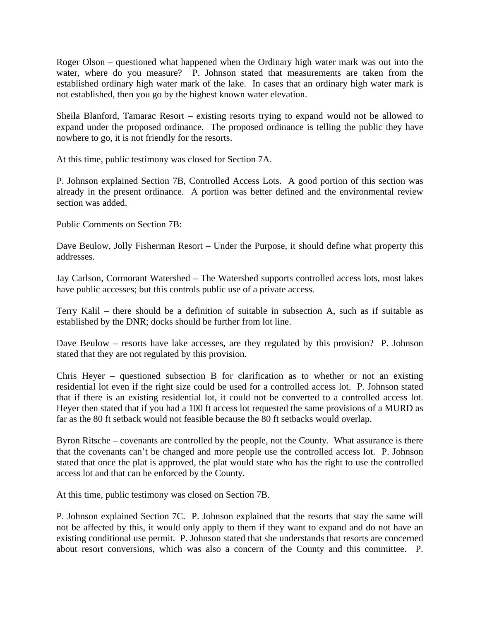Roger Olson – questioned what happened when the Ordinary high water mark was out into the water, where do you measure? P. Johnson stated that measurements are taken from the established ordinary high water mark of the lake. In cases that an ordinary high water mark is not established, then you go by the highest known water elevation.

Sheila Blanford, Tamarac Resort – existing resorts trying to expand would not be allowed to expand under the proposed ordinance. The proposed ordinance is telling the public they have nowhere to go, it is not friendly for the resorts.

At this time, public testimony was closed for Section 7A.

P. Johnson explained Section 7B, Controlled Access Lots. A good portion of this section was already in the present ordinance. A portion was better defined and the environmental review section was added.

Public Comments on Section 7B:

Dave Beulow, Jolly Fisherman Resort – Under the Purpose, it should define what property this addresses.

Jay Carlson, Cormorant Watershed – The Watershed supports controlled access lots, most lakes have public accesses; but this controls public use of a private access.

Terry Kalil – there should be a definition of suitable in subsection A, such as if suitable as established by the DNR; docks should be further from lot line.

Dave Beulow – resorts have lake accesses, are they regulated by this provision? P. Johnson stated that they are not regulated by this provision.

Chris Heyer – questioned subsection B for clarification as to whether or not an existing residential lot even if the right size could be used for a controlled access lot. P. Johnson stated that if there is an existing residential lot, it could not be converted to a controlled access lot. Heyer then stated that if you had a 100 ft access lot requested the same provisions of a MURD as far as the 80 ft setback would not feasible because the 80 ft setbacks would overlap.

Byron Ritsche – covenants are controlled by the people, not the County. What assurance is there that the covenants can't be changed and more people use the controlled access lot. P. Johnson stated that once the plat is approved, the plat would state who has the right to use the controlled access lot and that can be enforced by the County.

At this time, public testimony was closed on Section 7B.

P. Johnson explained Section 7C. P. Johnson explained that the resorts that stay the same will not be affected by this, it would only apply to them if they want to expand and do not have an existing conditional use permit. P. Johnson stated that she understands that resorts are concerned about resort conversions, which was also a concern of the County and this committee. P.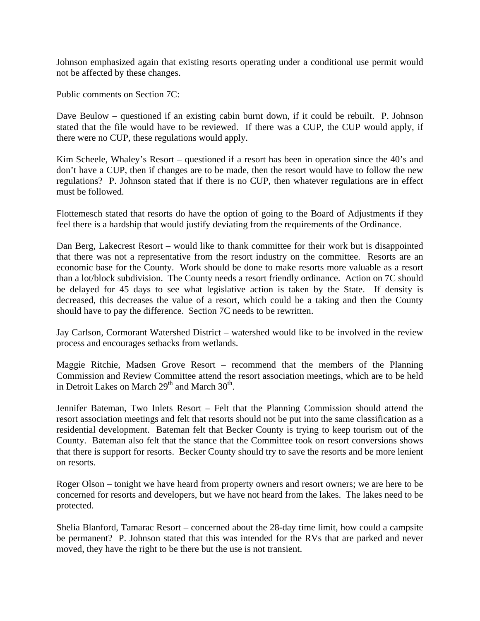Johnson emphasized again that existing resorts operating under a conditional use permit would not be affected by these changes.

Public comments on Section 7C:

Dave Beulow – questioned if an existing cabin burnt down, if it could be rebuilt. P. Johnson stated that the file would have to be reviewed. If there was a CUP, the CUP would apply, if there were no CUP, these regulations would apply.

Kim Scheele, Whaley's Resort – questioned if a resort has been in operation since the 40's and don't have a CUP, then if changes are to be made, then the resort would have to follow the new regulations? P. Johnson stated that if there is no CUP, then whatever regulations are in effect must be followed.

Flottemesch stated that resorts do have the option of going to the Board of Adjustments if they feel there is a hardship that would justify deviating from the requirements of the Ordinance.

Dan Berg, Lakecrest Resort – would like to thank committee for their work but is disappointed that there was not a representative from the resort industry on the committee. Resorts are an economic base for the County. Work should be done to make resorts more valuable as a resort than a lot/block subdivision. The County needs a resort friendly ordinance. Action on 7C should be delayed for 45 days to see what legislative action is taken by the State. If density is decreased, this decreases the value of a resort, which could be a taking and then the County should have to pay the difference. Section 7C needs to be rewritten.

Jay Carlson, Cormorant Watershed District – watershed would like to be involved in the review process and encourages setbacks from wetlands.

Maggie Ritchie, Madsen Grove Resort – recommend that the members of the Planning Commission and Review Committee attend the resort association meetings, which are to be held in Detroit Lakes on March  $29<sup>th</sup>$  and March  $30<sup>th</sup>$ .

Jennifer Bateman, Two Inlets Resort – Felt that the Planning Commission should attend the resort association meetings and felt that resorts should not be put into the same classification as a residential development. Bateman felt that Becker County is trying to keep tourism out of the County. Bateman also felt that the stance that the Committee took on resort conversions shows that there is support for resorts. Becker County should try to save the resorts and be more lenient on resorts.

Roger Olson – tonight we have heard from property owners and resort owners; we are here to be concerned for resorts and developers, but we have not heard from the lakes. The lakes need to be protected.

Shelia Blanford, Tamarac Resort – concerned about the 28-day time limit, how could a campsite be permanent? P. Johnson stated that this was intended for the RVs that are parked and never moved, they have the right to be there but the use is not transient.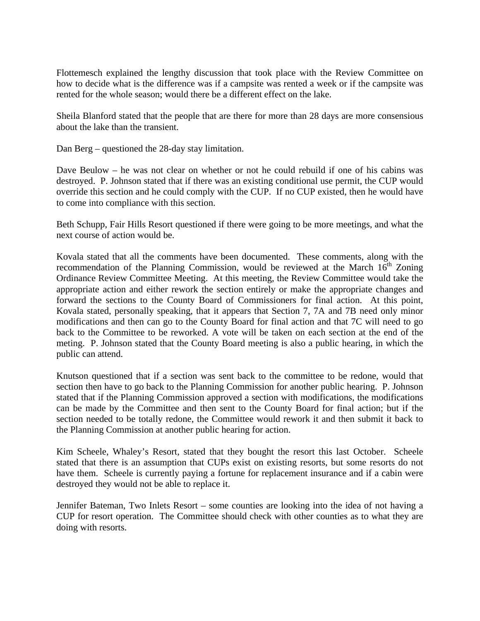Flottemesch explained the lengthy discussion that took place with the Review Committee on how to decide what is the difference was if a campsite was rented a week or if the campsite was rented for the whole season; would there be a different effect on the lake.

Sheila Blanford stated that the people that are there for more than 28 days are more consensious about the lake than the transient.

Dan Berg – questioned the 28-day stay limitation.

Dave Beulow – he was not clear on whether or not he could rebuild if one of his cabins was destroyed. P. Johnson stated that if there was an existing conditional use permit, the CUP would override this section and he could comply with the CUP. If no CUP existed, then he would have to come into compliance with this section.

Beth Schupp, Fair Hills Resort questioned if there were going to be more meetings, and what the next course of action would be.

Kovala stated that all the comments have been documented. These comments, along with the recommendation of the Planning Commission, would be reviewed at the March  $16<sup>th</sup>$  Zoning Ordinance Review Committee Meeting. At this meeting, the Review Committee would take the appropriate action and either rework the section entirely or make the appropriate changes and forward the sections to the County Board of Commissioners for final action. At this point, Kovala stated, personally speaking, that it appears that Section 7, 7A and 7B need only minor modifications and then can go to the County Board for final action and that 7C will need to go back to the Committee to be reworked. A vote will be taken on each section at the end of the meting. P. Johnson stated that the County Board meeting is also a public hearing, in which the public can attend.

Knutson questioned that if a section was sent back to the committee to be redone, would that section then have to go back to the Planning Commission for another public hearing. P. Johnson stated that if the Planning Commission approved a section with modifications, the modifications can be made by the Committee and then sent to the County Board for final action; but if the section needed to be totally redone, the Committee would rework it and then submit it back to the Planning Commission at another public hearing for action.

Kim Scheele, Whaley's Resort, stated that they bought the resort this last October. Scheele stated that there is an assumption that CUPs exist on existing resorts, but some resorts do not have them. Scheele is currently paying a fortune for replacement insurance and if a cabin were destroyed they would not be able to replace it.

Jennifer Bateman, Two Inlets Resort – some counties are looking into the idea of not having a CUP for resort operation. The Committee should check with other counties as to what they are doing with resorts.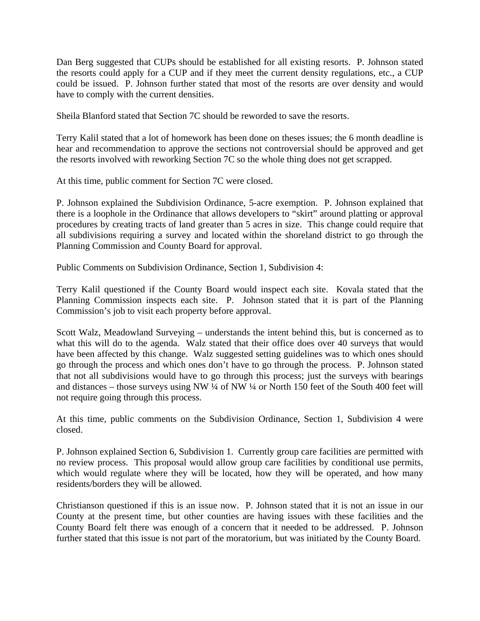Dan Berg suggested that CUPs should be established for all existing resorts. P. Johnson stated the resorts could apply for a CUP and if they meet the current density regulations, etc., a CUP could be issued. P. Johnson further stated that most of the resorts are over density and would have to comply with the current densities.

Sheila Blanford stated that Section 7C should be reworded to save the resorts.

Terry Kalil stated that a lot of homework has been done on theses issues; the 6 month deadline is hear and recommendation to approve the sections not controversial should be approved and get the resorts involved with reworking Section 7C so the whole thing does not get scrapped.

At this time, public comment for Section 7C were closed.

P. Johnson explained the Subdivision Ordinance, 5-acre exemption. P. Johnson explained that there is a loophole in the Ordinance that allows developers to "skirt" around platting or approval procedures by creating tracts of land greater than 5 acres in size. This change could require that all subdivisions requiring a survey and located within the shoreland district to go through the Planning Commission and County Board for approval.

Public Comments on Subdivision Ordinance, Section 1, Subdivision 4:

Terry Kalil questioned if the County Board would inspect each site. Kovala stated that the Planning Commission inspects each site. P. Johnson stated that it is part of the Planning Commission's job to visit each property before approval.

Scott Walz, Meadowland Surveying – understands the intent behind this, but is concerned as to what this will do to the agenda. Walz stated that their office does over 40 surveys that would have been affected by this change. Walz suggested setting guidelines was to which ones should go through the process and which ones don't have to go through the process. P. Johnson stated that not all subdivisions would have to go through this process; just the surveys with bearings and distances – those surveys using NW ¼ of NW ¼ or North 150 feet of the South 400 feet will not require going through this process.

At this time, public comments on the Subdivision Ordinance, Section 1, Subdivision 4 were closed.

P. Johnson explained Section 6, Subdivision 1. Currently group care facilities are permitted with no review process. This proposal would allow group care facilities by conditional use permits, which would regulate where they will be located, how they will be operated, and how many residents/borders they will be allowed.

Christianson questioned if this is an issue now. P. Johnson stated that it is not an issue in our County at the present time, but other counties are having issues with these facilities and the County Board felt there was enough of a concern that it needed to be addressed. P. Johnson further stated that this issue is not part of the moratorium, but was initiated by the County Board.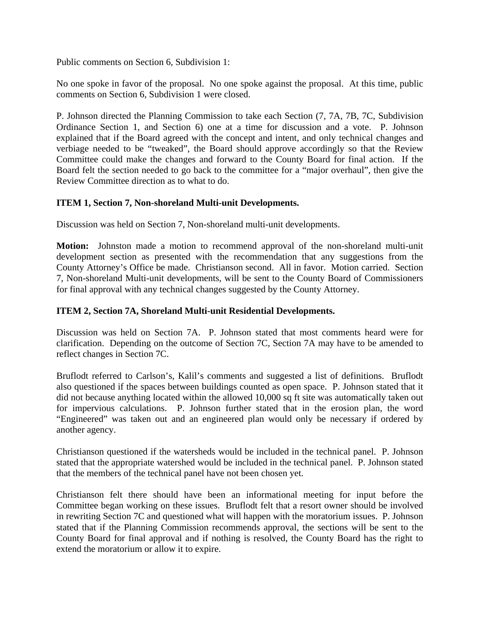Public comments on Section 6, Subdivision 1:

No one spoke in favor of the proposal. No one spoke against the proposal. At this time, public comments on Section 6, Subdivision 1 were closed.

P. Johnson directed the Planning Commission to take each Section (7, 7A, 7B, 7C, Subdivision Ordinance Section 1, and Section 6) one at a time for discussion and a vote. P. Johnson explained that if the Board agreed with the concept and intent, and only technical changes and verbiage needed to be "tweaked", the Board should approve accordingly so that the Review Committee could make the changes and forward to the County Board for final action. If the Board felt the section needed to go back to the committee for a "major overhaul", then give the Review Committee direction as to what to do.

# **ITEM 1, Section 7, Non-shoreland Multi-unit Developments.**

Discussion was held on Section 7, Non-shoreland multi-unit developments.

**Motion:** Johnston made a motion to recommend approval of the non-shoreland multi-unit development section as presented with the recommendation that any suggestions from the County Attorney's Office be made. Christianson second. All in favor. Motion carried. Section 7, Non-shoreland Multi-unit developments, will be sent to the County Board of Commissioners for final approval with any technical changes suggested by the County Attorney.

### **ITEM 2, Section 7A, Shoreland Multi-unit Residential Developments.**

Discussion was held on Section 7A. P. Johnson stated that most comments heard were for clarification. Depending on the outcome of Section 7C, Section 7A may have to be amended to reflect changes in Section 7C.

Bruflodt referred to Carlson's, Kalil's comments and suggested a list of definitions. Bruflodt also questioned if the spaces between buildings counted as open space. P. Johnson stated that it did not because anything located within the allowed 10,000 sq ft site was automatically taken out for impervious calculations. P. Johnson further stated that in the erosion plan, the word "Engineered" was taken out and an engineered plan would only be necessary if ordered by another agency.

Christianson questioned if the watersheds would be included in the technical panel. P. Johnson stated that the appropriate watershed would be included in the technical panel. P. Johnson stated that the members of the technical panel have not been chosen yet.

Christianson felt there should have been an informational meeting for input before the Committee began working on these issues. Bruflodt felt that a resort owner should be involved in rewriting Section 7C and questioned what will happen with the moratorium issues. P. Johnson stated that if the Planning Commission recommends approval, the sections will be sent to the County Board for final approval and if nothing is resolved, the County Board has the right to extend the moratorium or allow it to expire.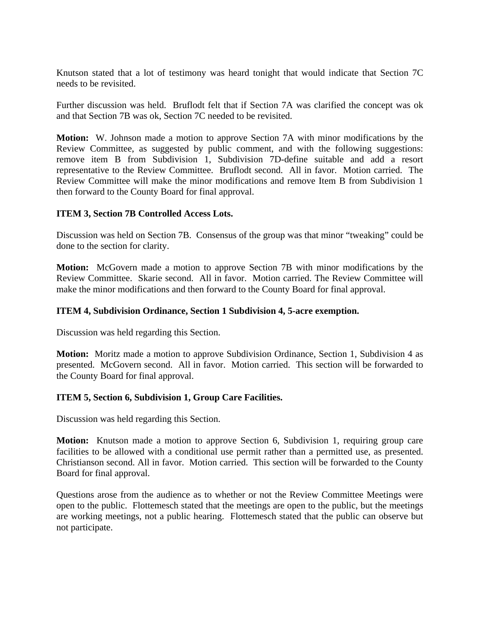Knutson stated that a lot of testimony was heard tonight that would indicate that Section 7C needs to be revisited.

Further discussion was held. Bruflodt felt that if Section 7A was clarified the concept was ok and that Section 7B was ok, Section 7C needed to be revisited.

**Motion:** W. Johnson made a motion to approve Section 7A with minor modifications by the Review Committee, as suggested by public comment, and with the following suggestions: remove item B from Subdivision 1, Subdivision 7D-define suitable and add a resort representative to the Review Committee. Bruflodt second. All in favor. Motion carried. The Review Committee will make the minor modifications and remove Item B from Subdivision 1 then forward to the County Board for final approval.

## **ITEM 3, Section 7B Controlled Access Lots.**

Discussion was held on Section 7B. Consensus of the group was that minor "tweaking" could be done to the section for clarity.

**Motion:** McGovern made a motion to approve Section 7B with minor modifications by the Review Committee. Skarie second. All in favor. Motion carried. The Review Committee will make the minor modifications and then forward to the County Board for final approval.

### **ITEM 4, Subdivision Ordinance, Section 1 Subdivision 4, 5-acre exemption.**

Discussion was held regarding this Section.

**Motion:** Moritz made a motion to approve Subdivision Ordinance, Section 1, Subdivision 4 as presented. McGovern second. All in favor. Motion carried. This section will be forwarded to the County Board for final approval.

### **ITEM 5, Section 6, Subdivision 1, Group Care Facilities.**

Discussion was held regarding this Section.

**Motion:** Knutson made a motion to approve Section 6, Subdivision 1, requiring group care facilities to be allowed with a conditional use permit rather than a permitted use, as presented. Christianson second. All in favor. Motion carried. This section will be forwarded to the County Board for final approval.

Questions arose from the audience as to whether or not the Review Committee Meetings were open to the public. Flottemesch stated that the meetings are open to the public, but the meetings are working meetings, not a public hearing. Flottemesch stated that the public can observe but not participate.